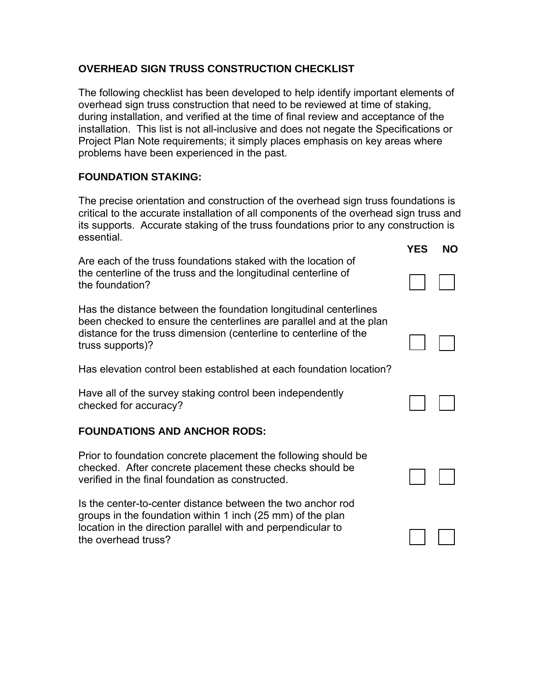## **OVERHEAD SIGN TRUSS CONSTRUCTION CHECKLIST**

The following checklist has been developed to help identify important elements of overhead sign truss construction that need to be reviewed at time of staking, during installation, and verified at the time of final review and acceptance of the installation. This list is not all-inclusive and does not negate the Specifications or Project Plan Note requirements; it simply places emphasis on key areas where problems have been experienced in the past.

## **FOUNDATION STAKING:**

The precise orientation and construction of the overhead sign truss foundations is critical to the accurate installation of all components of the overhead sign truss and its supports. Accurate staking of the truss foundations prior to any construction is essential.

 **YES NO**

| Are each of the truss foundations staked with the location of                                                                                                                                                                    |  |
|----------------------------------------------------------------------------------------------------------------------------------------------------------------------------------------------------------------------------------|--|
| the centerline of the truss and the longitudinal centerline of<br>the foundation?                                                                                                                                                |  |
| Has the distance between the foundation longitudinal centerlines<br>been checked to ensure the centerlines are parallel and at the plan<br>distance for the truss dimension (centerline to centerline of the<br>truss supports)? |  |
| Has elevation control been established at each foundation location?                                                                                                                                                              |  |
| Have all of the survey staking control been independently<br>checked for accuracy?                                                                                                                                               |  |
| <b>FOUNDATIONS AND ANCHOR RODS:</b>                                                                                                                                                                                              |  |
| Prior to foundation concrete placement the following should be<br>checked. After concrete placement these checks should be<br>verified in the final foundation as constructed.                                                   |  |
| Is the center-to-center distance between the two anchor rod<br>groups in the foundation within 1 inch (25 mm) of the plan<br>location in the direction parallel with and perpendicular to<br>the overhead truss?                 |  |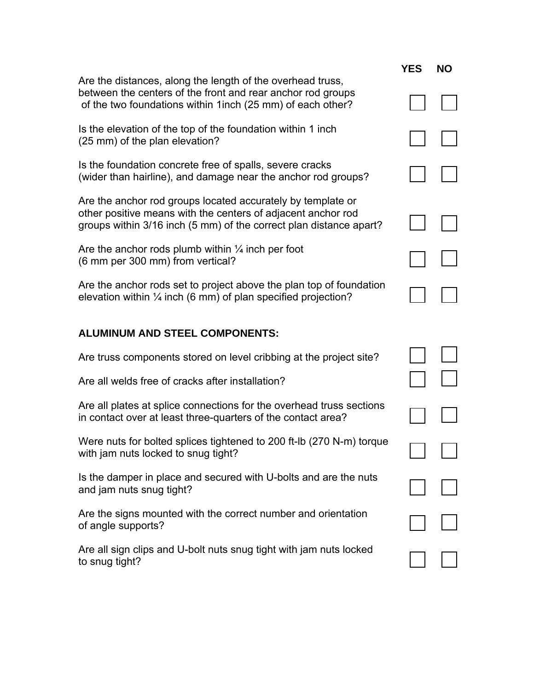|                                                                                                                                                                                                   | <b>YES</b> | <b>NO</b> |
|---------------------------------------------------------------------------------------------------------------------------------------------------------------------------------------------------|------------|-----------|
| Are the distances, along the length of the overhead truss,<br>between the centers of the front and rear anchor rod groups<br>of the two foundations within 1inch (25 mm) of each other?           |            |           |
| Is the elevation of the top of the foundation within 1 inch<br>(25 mm) of the plan elevation?                                                                                                     |            |           |
| Is the foundation concrete free of spalls, severe cracks<br>(wider than hairline), and damage near the anchor rod groups?                                                                         |            |           |
| Are the anchor rod groups located accurately by template or<br>other positive means with the centers of adjacent anchor rod<br>groups within 3/16 inch (5 mm) of the correct plan distance apart? |            |           |
| Are the anchor rods plumb within $\frac{1}{4}$ inch per foot<br>(6 mm per 300 mm) from vertical?                                                                                                  |            |           |
| Are the anchor rods set to project above the plan top of foundation<br>elevation within $\frac{1}{4}$ inch (6 mm) of plan specified projection?                                                   |            |           |
| <b>ALUMINUM AND STEEL COMPONENTS:</b>                                                                                                                                                             |            |           |
| Are truss components stored on level cribbing at the project site?                                                                                                                                |            |           |
| Are all welds free of cracks after installation?                                                                                                                                                  |            |           |
| Are all plates at splice connections for the overhead truss sections<br>in contact over at least three-quarters of the contact area?                                                              |            |           |
| Were nuts for bolted splices tightened to 200 ft-lb (270 N-m) torque<br>with jam nuts locked to snug tight?                                                                                       |            |           |
| Is the damper in place and secured with U-bolts and are the nuts<br>and jam nuts snug tight?                                                                                                      |            |           |
| Are the signs mounted with the correct number and orientation<br>of angle supports?                                                                                                               |            |           |
| Are all sign clips and U-bolt nuts snug tight with jam nuts locked<br>to snug tight?                                                                                                              |            |           |